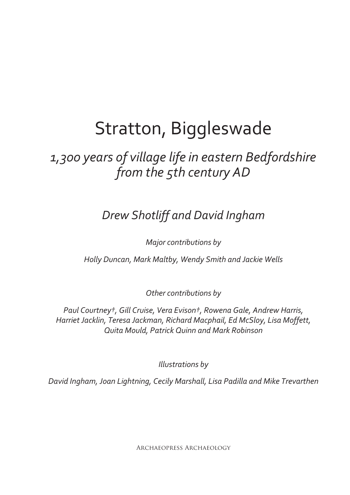# Stratton, Biggleswade

# *1,300 years of village life in eastern Bedfordshire from the 5th century AD*

*Drew Shotliff and David Ingham*

*Major contributions by*

*Holly Duncan, Mark Maltby, Wendy Smith and Jackie Wells*

*Other contributions by*

*Paul Courtney†, Gill Cruise, Vera Evison†, Rowena Gale, Andrew Harris, Harriet Jacklin, Teresa Jackman, Richard Macphail, Ed McSloy, Lisa Moffett, Quita Mould, Patrick Quinn and Mark Robinson*

*Illustrations by*

*David Ingham, Joan Lightning, Cecily Marshall, Lisa Padilla and Mike Trevarthen*

Archaeopress Archaeology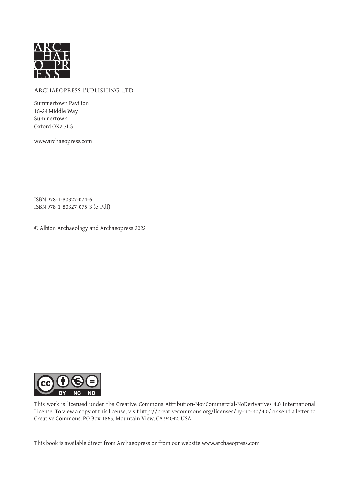

#### Archaeopress Publishing Ltd

Summertown Pavilion 18-24 Middle Way Summertown Oxford OX2 7LG

www.archaeopress.com

ISBN 978-1-80327-074-6 ISBN 978-1-80327-075-3 (e-Pdf)

© Albion Archaeology and Archaeopress 2022



This work is licensed under the Creative Commons Attribution-NonCommercial-NoDerivatives 4.0 International License. To view a copy of this license, visit http://creativecommons.org/licenses/by-nc-nd/4.0/ or send a letter to Creative Commons, PO Box 1866, Mountain View, CA 94042, USA.

This book is available direct from Archaeopress or from our website www.archaeopress.com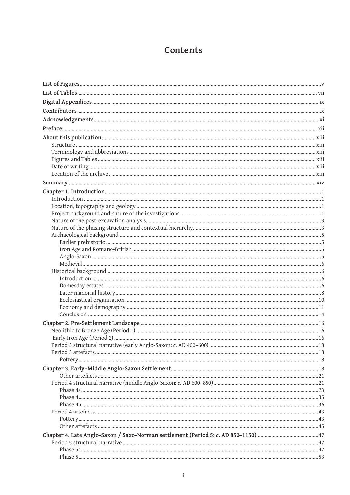# Contents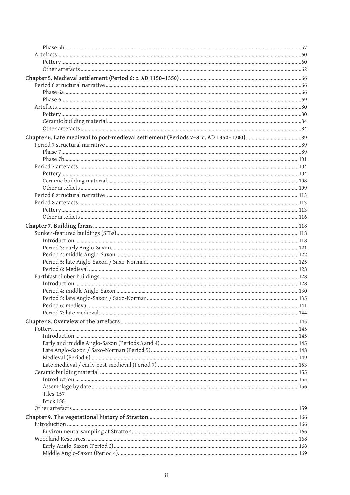| Period 7: late medieval |  |
|-------------------------|--|
|                         |  |
|                         |  |
|                         |  |
|                         |  |
|                         |  |
|                         |  |
|                         |  |
|                         |  |
|                         |  |
|                         |  |
| Tiles 157               |  |
| Brick 158               |  |
|                         |  |
|                         |  |
|                         |  |
|                         |  |
|                         |  |
|                         |  |
|                         |  |
|                         |  |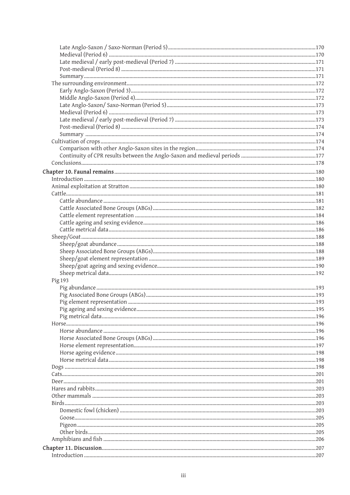| Pig 193 |  |
|---------|--|
|         |  |
|         |  |
|         |  |
|         |  |
|         |  |
|         |  |
|         |  |
|         |  |
|         |  |
|         |  |
|         |  |
|         |  |
|         |  |
|         |  |
|         |  |
|         |  |
|         |  |
|         |  |
|         |  |
|         |  |
|         |  |
|         |  |
|         |  |
|         |  |
|         |  |
|         |  |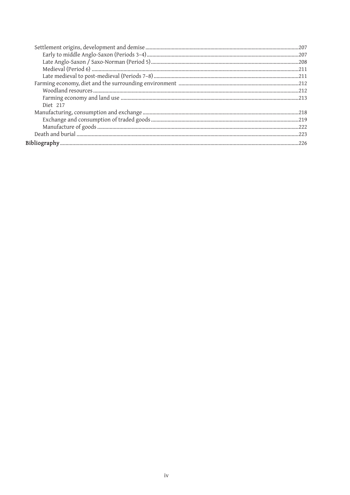| Diet 217 |  |
|----------|--|
|          |  |
|          |  |
|          |  |
|          |  |
|          |  |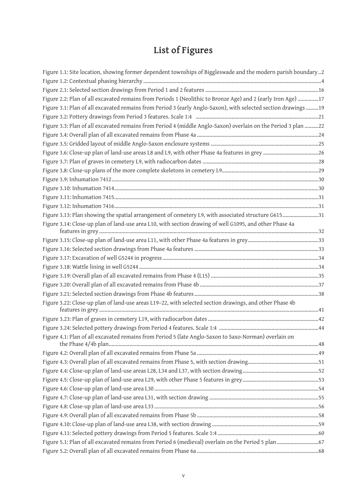# **List of Figures**

| Figure 1.1: Site location, showing former dependent townships of Biggleswade and the modern parish boundary2   |  |
|----------------------------------------------------------------------------------------------------------------|--|
|                                                                                                                |  |
|                                                                                                                |  |
| Figure 2.2: Plan of all excavated remains from Periods 1 (Neolithic to Bronze Age) and 2 (early Iron Age) 17   |  |
| Figure 3.1: Plan of all excavated remains from Period 3 (early Anglo-Saxon), with selected section drawings 19 |  |
|                                                                                                                |  |
| Figure 3.3: Plan of all excavated remains from Period 4 (middle Anglo-Saxon) overlain on the Period 3 plan 22  |  |
|                                                                                                                |  |
|                                                                                                                |  |
|                                                                                                                |  |
|                                                                                                                |  |
|                                                                                                                |  |
|                                                                                                                |  |
|                                                                                                                |  |
|                                                                                                                |  |
|                                                                                                                |  |
| Figure 3.13: Plan showing the spatial arrangement of cemetery L9, with associated structure G61531             |  |
| Figure 3.14: Close-up plan of land-use area L10, with section drawing of well G1095, and other Phase 4a        |  |
|                                                                                                                |  |
|                                                                                                                |  |
|                                                                                                                |  |
|                                                                                                                |  |
|                                                                                                                |  |
|                                                                                                                |  |
|                                                                                                                |  |
| Figure 3.22: Close-up plan of land-use areas L19-22, with selected section drawings, and other Phase 4b        |  |
|                                                                                                                |  |
|                                                                                                                |  |
| Figure 4.1: Plan of all excavated remains from Period 5 (late Anglo-Saxon to Saxo-Norman) overlain on          |  |
|                                                                                                                |  |
|                                                                                                                |  |
|                                                                                                                |  |
|                                                                                                                |  |
|                                                                                                                |  |
|                                                                                                                |  |
|                                                                                                                |  |
|                                                                                                                |  |
|                                                                                                                |  |
|                                                                                                                |  |
| Figure 5.1: Plan of all excavated remains from Period 6 (medieval) overlain on the Period 5 plan  67           |  |
|                                                                                                                |  |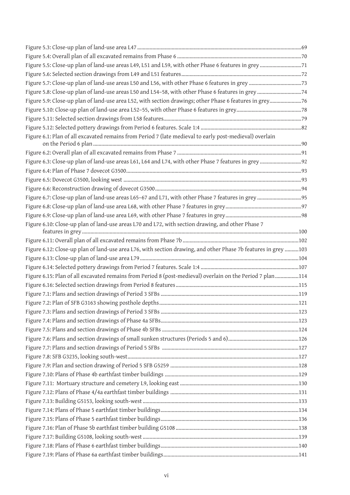| Figure 5.9: Close-up plan of land-use area L52, with section drawings; other Phase 6 features in grey76        |  |  |  |
|----------------------------------------------------------------------------------------------------------------|--|--|--|
|                                                                                                                |  |  |  |
|                                                                                                                |  |  |  |
|                                                                                                                |  |  |  |
| Figure 6.1: Plan of all excavated remains from Period 7 (late medieval to early post-medieval) overlain        |  |  |  |
|                                                                                                                |  |  |  |
|                                                                                                                |  |  |  |
|                                                                                                                |  |  |  |
|                                                                                                                |  |  |  |
|                                                                                                                |  |  |  |
|                                                                                                                |  |  |  |
|                                                                                                                |  |  |  |
|                                                                                                                |  |  |  |
| Figure 6.10: Close-up plan of land-use areas L70 and L72, with section drawing, and other Phase 7              |  |  |  |
|                                                                                                                |  |  |  |
| Figure 6.12: Close-up plan of land-use area L76, with section drawing, and other Phase 7b features in grey 103 |  |  |  |
|                                                                                                                |  |  |  |
|                                                                                                                |  |  |  |
|                                                                                                                |  |  |  |
| Figure 6.15: Plan of all excavated remains from Period 8 (post-medieval) overlain on the Period 7 plan114      |  |  |  |
|                                                                                                                |  |  |  |
|                                                                                                                |  |  |  |
|                                                                                                                |  |  |  |
|                                                                                                                |  |  |  |
|                                                                                                                |  |  |  |
|                                                                                                                |  |  |  |
|                                                                                                                |  |  |  |
|                                                                                                                |  |  |  |
|                                                                                                                |  |  |  |
|                                                                                                                |  |  |  |
|                                                                                                                |  |  |  |
|                                                                                                                |  |  |  |
|                                                                                                                |  |  |  |
|                                                                                                                |  |  |  |
|                                                                                                                |  |  |  |
|                                                                                                                |  |  |  |
|                                                                                                                |  |  |  |
|                                                                                                                |  |  |  |
|                                                                                                                |  |  |  |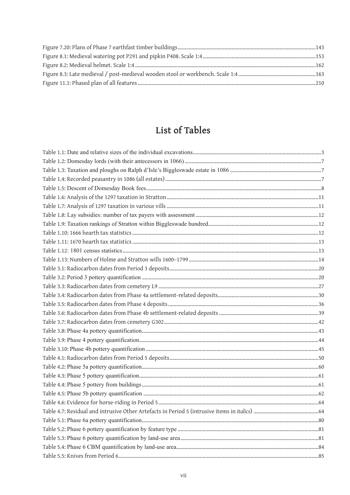# List of Tables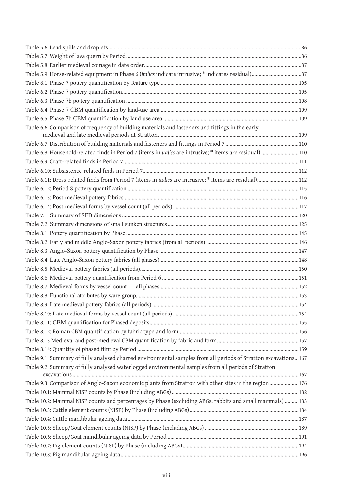| Table 6.6: Comparison of frequency of building materials and fasteners and fittings in the early               |  |
|----------------------------------------------------------------------------------------------------------------|--|
|                                                                                                                |  |
| Table 6.8: Household-related finds in Period 7 (items in italics are intrusive; * items are residual) 110      |  |
|                                                                                                                |  |
|                                                                                                                |  |
| Table 6.11: Dress-related finds from Period 7 (items in <i>italics</i> are intrusive; * items are residual)112 |  |
|                                                                                                                |  |
|                                                                                                                |  |
|                                                                                                                |  |
|                                                                                                                |  |
|                                                                                                                |  |
|                                                                                                                |  |
|                                                                                                                |  |
|                                                                                                                |  |
|                                                                                                                |  |
|                                                                                                                |  |
|                                                                                                                |  |
|                                                                                                                |  |
|                                                                                                                |  |
|                                                                                                                |  |
|                                                                                                                |  |
|                                                                                                                |  |
|                                                                                                                |  |
|                                                                                                                |  |
|                                                                                                                |  |
| Table 9.1: Summary of fully analysed charred environmental samples from all periods of Stratton excavations167 |  |
| Table 9.2: Summary of fully analysed waterlogged environmental samples from all periods of Stratton            |  |
| Table 9.3: Comparison of Anglo-Saxon economic plants from Stratton with other sites in the region 176          |  |
|                                                                                                                |  |
| Table 10.2: Mammal NISP counts and percentages by Phase (excluding ABGs, rabbits and small mammals) 183        |  |
|                                                                                                                |  |
|                                                                                                                |  |
|                                                                                                                |  |
|                                                                                                                |  |
|                                                                                                                |  |
|                                                                                                                |  |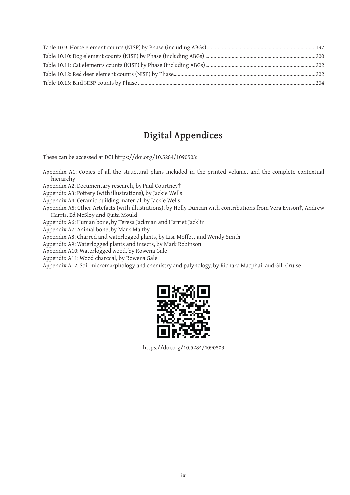# **Digital Appendices**

These can be accessed at DOI https://doi.org/10.5284/1090503:

Appendix A1: Copies of all the structural plans included in the printed volume, and the complete contextual hierarchy

Appendix A2: Documentary research, by Paul Courtney†

Appendix A3: Pottery (with illustrations), by Jackie Wells

Appendix A4: Ceramic building material, by Jackie Wells

Appendix A5: Other Artefacts (with illustrations), by Holly Duncan with contributions from Vera Evison†, Andrew Harris, Ed McSloy and Quita Mould

Appendix A6: Human bone, by Teresa Jackman and Harriet Jacklin

Appendix A7: Animal bone, by Mark Maltby

Appendix A8: Charred and waterlogged plants, by Lisa Moffett and Wendy Smith

Appendix A9: Waterlogged plants and insects, by Mark Robinson

Appendix A10: Waterlogged wood, by Rowena Gale

Appendix A11: Wood charcoal, by Rowena Gale

Appendix A12: Soil micromorphology and chemistry and palynology, by Richard Macphail and Gill Cruise



https://doi.org/10.5284/1090503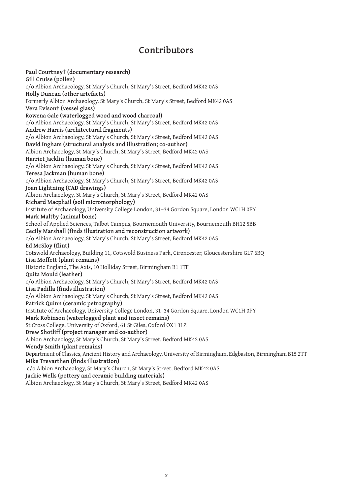# **Contributors**

**Paul Courtney† (documentary research) Gill Cruise (pollen)** c/o Albion Archaeology, St Mary's Church, St Mary's Street, Bedford MK42 0AS **Holly Duncan (other artefacts)** Formerly Albion Archaeology, St Mary's Church, St Mary's Street, Bedford MK42 0AS **Vera Evison† (vessel glass) Rowena Gale (waterlogged wood and wood charcoal)** c/o Albion Archaeology, St Mary's Church, St Mary's Street, Bedford MK42 0AS **Andrew Harris (architectural fragments)** c/o Albion Archaeology, St Mary's Church, St Mary's Street, Bedford MK42 0AS **David Ingham (structural analysis and illustration; co-author)** Albion Archaeology, St Mary's Church, St Mary's Street, Bedford MK42 0AS **Harriet Jacklin (human bone)** c/o Albion Archaeology, St Mary's Church, St Mary's Street, Bedford MK42 0AS **Teresa Jackman (human bone)** c/o Albion Archaeology, St Mary's Church, St Mary's Street, Bedford MK42 0AS **Joan Lightning (CAD drawings)** Albion Archaeology, St Mary's Church, St Mary's Street, Bedford MK42 0AS **Richard Macphail (soil micromorphology)** Institute of Archaeology, University College London, 31–34 Gordon Square, London WC1H 0PY **Mark Maltby (animal bone)** School of Applied Sciences, Talbot Campus, Bournemouth University, Bournemouth BH12 5BB **Cecily Marshall (finds illustration and reconstruction artwork)** c/o Albion Archaeology, St Mary's Church, St Mary's Street, Bedford MK42 0AS **Ed McSloy (flint)** Cotswold Archaeology, Building 11, Cotswold Business Park, Cirencester, Gloucestershire GL7 6BQ **Lisa Moffett (plant remains)** Historic England, The Axis, 10 Holliday Street, Birmingham B1 1TF **Quita Mould (leather)** c/o Albion Archaeology, St Mary's Church, St Mary's Street, Bedford MK42 0AS **Lisa Padilla (finds illustration)** c/o Albion Archaeology, St Mary's Church, St Mary's Street, Bedford MK42 0AS **Patrick Quinn (ceramic petrography)** Institute of Archaeology, University College London, 31–34 Gordon Square, London WC1H 0PY **Mark Robinson (waterlogged plant and insect remains)** St Cross College, University of Oxford, 61 St Giles, Oxford OX1 3LZ **Drew Shotliff (project manager and co-author)** Albion Archaeology, St Mary's Church, St Mary's Street, Bedford MK42 0AS **Wendy Smith (plant remains)** Department of Classics, Ancient History and Archaeology, University of Birmingham, Edgbaston, Birmingham B15 2TT **Mike Trevarthen (finds illustration)** c/o Albion Archaeology, St Mary's Church, St Mary's Street, Bedford MK42 0AS **Jackie Wells (pottery and ceramic building materials)** Albion Archaeology, St Mary's Church, St Mary's Street, Bedford MK42 0AS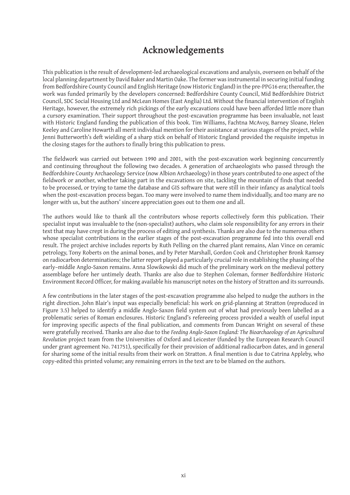# **Acknowledgements**

This publication is the result of development-led archaeological excavations and analysis, overseen on behalf of the local planning department by David Baker and Martin Oake. The former was instrumental in securing initial funding from Bedfordshire County Council and English Heritage (now Historic England) in the pre-PPG16 era; thereafter, the work was funded primarily by the developers concerned: Bedfordshire County Council, Mid Bedfordshire District Council, SDC Social Housing Ltd and McLean Homes (East Anglia) Ltd. Without the financial intervention of English Heritage, however, the extremely rich pickings of the early excavations could have been afforded little more than a cursory examination. Their support throughout the post-excavation programme has been invaluable, not least with Historic England funding the publication of this book. Tim Williams, Fachtna McAvoy, Barney Sloane, Helen Keeley and Caroline Howarth all merit individual mention for their assistance at various stages of the project, while Jenni Butterworth's deft wielding of a sharp stick on behalf of Historic England provided the requisite impetus in the closing stages for the authors to finally bring this publication to press.

The fieldwork was carried out between 1990 and 2001, with the post-excavation work beginning concurrently and continuing throughout the following two decades. A generation of archaeologists who passed through the Bedfordshire County Archaeology Service (now Albion Archaeology) in those years contributed to one aspect of the fieldwork or another, whether taking part in the excavations on site, tackling the mountain of finds that needed to be processed, or trying to tame the database and GIS software that were still in their infancy as analytical tools when the post-excavation process began. Too many were involved to name them individually, and too many are no longer with us, but the authors' sincere appreciation goes out to them one and all.

The authors would like to thank all the contributors whose reports collectively form this publication. Their specialist input was invaluable to the (non-specialist) authors, who claim sole responsibility for any errors in their text that may have crept in during the process of editing and synthesis. Thanks are also due to the numerous others whose specialist contributions in the earlier stages of the post-excavation programme fed into this overall end result. The project archive includes reports by Ruth Pelling on the charred plant remains, Alan Vince on ceramic petrology, Tony Roberts on the animal bones, and by Peter Marshall, Gordon Cook and Christopher Bronk Ramsey on radiocarbon determinations; the latter report played a particularly crucial role in establishing the phasing of the early–middle Anglo-Saxon remains. Anna Slowikowski did much of the preliminary work on the medieval pottery assemblage before her untimely death. Thanks are also due to Stephen Coleman, former Bedfordshire Historic Environment Record Officer, for making available his manuscript notes on the history of Stratton and its surrounds.

A few contributions in the later stages of the post-excavation programme also helped to nudge the authors in the right direction. John Blair's input was especially beneficial: his work on grid-planning at Stratton (reproduced in Figure 3.5) helped to identify a middle Anglo-Saxon field system out of what had previously been labelled as a problematic series of Roman enclosures. Historic England's refereeing process provided a wealth of useful input for improving specific aspects of the final publication, and comments from Duncan Wright on several of these were gratefully received. Thanks are also due to the *Feeding Anglo-Saxon England: The Bioarchaeology of an Agricultural Revolution* project team from the Universities of Oxford and Leicester (funded by the European Research Council under grant agreement No. 741751), specifically for their provision of additional radiocarbon dates, and in general for sharing some of the initial results from their work on Stratton. A final mention is due to Catrina Appleby, who copy-edited this printed volume; any remaining errors in the text are to be blamed on the authors.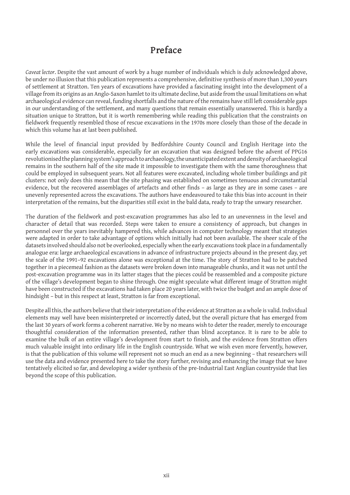## **Preface**

*Caveat lector*. Despite the vast amount of work by a huge number of individuals which is duly acknowledged above, be under no illusion that this publication represents a comprehensive, definitive synthesis of more than 1,300 years of settlement at Stratton. Ten years of excavations have provided a fascinating insight into the development of a village from its origins as an Anglo-Saxon hamlet to its ultimate decline, but aside from the usual limitations on what archaeological evidence can reveal, funding shortfalls and the nature of the remains have still left considerable gaps in our understanding of the settlement, and many questions that remain essentially unanswered. This is hardly a situation unique to Stratton, but it is worth remembering while reading this publication that the constraints on fieldwork frequently resembled those of rescue excavations in the 1970s more closely than those of the decade in which this volume has at last been published.

While the level of financial input provided by Bedfordshire County Council and English Heritage into the early excavations was considerable, especially for an excavation that was designed before the advent of PPG16 revolutionised the planning system's approach to archaeology, the unanticipated extent and density of archaeological remains in the southern half of the site made it impossible to investigate them with the same thoroughness that could be employed in subsequent years. Not all features were excavated, including whole timber buildings and pit clusters: not only does this mean that the site phasing was established on sometimes tenuous and circumstantial evidence, but the recovered assemblages of artefacts and other finds – as large as they are in some cases – are unevenly represented across the excavations. The authors have endeavoured to take this bias into account in their interpretation of the remains, but the disparities still exist in the bald data, ready to trap the unwary researcher.

The duration of the fieldwork and post-excavation programmes has also led to an unevenness in the level and character of detail that was recorded. Steps were taken to ensure a consistency of approach, but changes in personnel over the years inevitably hampered this, while advances in computer technology meant that strategies were adapted in order to take advantage of options which initially had not been available. The sheer scale of the datasets involved should also not be overlooked, especially when the early excavations took place in a fundamentally analogue era: large archaeological excavations in advance of infrastructure projects abound in the present day, yet the scale of the 1991–92 excavations alone was exceptional at the time. The story of Stratton had to be patched together in a piecemeal fashion as the datasets were broken down into manageable chunks, and it was not until the post-excavation programme was in its latter stages that the pieces could be reassembled and a composite picture of the village's development began to shine through. One might speculate what different image of Stratton might have been constructed if the excavations had taken place 20 years later, with twice the budget and an ample dose of hindsight – but in this respect at least, Stratton is far from exceptional.

Despite all this, the authors believe that their interpretation of the evidence at Stratton as a whole is valid. Individual elements may well have been misinterpreted or incorrectly dated, but the overall picture that has emerged from the last 30 years of work forms a coherent narrative. We by no means wish to deter the reader, merely to encourage thoughtful consideration of the information presented, rather than blind acceptance. It is rare to be able to examine the bulk of an entire village's development from start to finish, and the evidence from Stratton offers much valuable insight into ordinary life in the English countryside. What we wish even more fervently, however, is that the publication of this volume will represent not so much an end as a new beginning – that researchers will use the data and evidence presented here to take the story further, revising and enhancing the image that we have tentatively elicited so far, and developing a wider synthesis of the pre-Industrial East Anglian countryside that lies beyond the scope of this publication.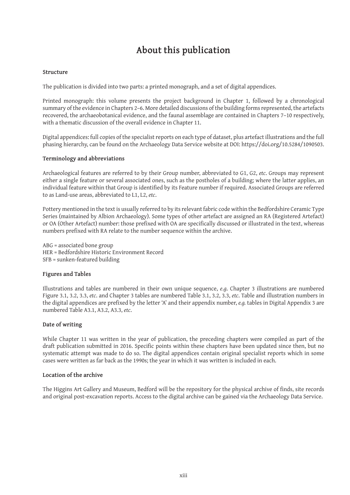# **About this publication**

#### **Structure**

The publication is divided into two parts: a printed monograph, and a set of digital appendices.

Printed monograph: this volume presents the project background in Chapter 1, followed by a chronological summary of the evidence in Chapters 2–6. More detailed discussions of the building forms represented, the artefacts recovered, the archaeobotanical evidence, and the faunal assemblage are contained in Chapters 7–10 respectively, with a thematic discussion of the overall evidence in Chapter 11.

Digital appendices: full copies of the specialist reports on each type of dataset, plus artefact illustrations and the full phasing hierarchy, can be found on the Archaeology Data Service website at DOI: https://doi.org/10.5284/1090503.

#### **Terminology and abbreviations**

Archaeological features are referred to by their Group number, abbreviated to G1, G2, *etc*. Groups may represent either a single feature or several associated ones, such as the postholes of a building; where the latter applies, an individual feature within that Group is identified by its Feature number if required. Associated Groups are referred to as Land-use areas, abbreviated to L1, L2, *etc*.

Pottery mentioned in the text is usually referred to by its relevant fabric code within the Bedfordshire Ceramic Type Series (maintained by Albion Archaeology). Some types of other artefact are assigned an RA (Registered Artefact) or OA (Other Artefact) number: those prefixed with OA are specifically discussed or illustrated in the text, whereas numbers prefixed with RA relate to the number sequence within the archive.

ABG = associated bone group HER = Bedfordshire Historic Environment Record SFB = sunken-featured building

#### **Figures and Tables**

Illustrations and tables are numbered in their own unique sequence, *e*.*g*. Chapter 3 illustrations are numbered Figure 3.1, 3.2, 3.3, *etc*. and Chapter 3 tables are numbered Table 3.1, 3.2, 3.3, *etc*. Table and illustration numbers in the digital appendices are prefixed by the letter 'A' and their appendix number, *e.g.* tables in Digital Appendix 3 are numbered Table A3.1, A3.2, A3.3, *etc*.

#### **Date of writing**

While Chapter 11 was written in the year of publication, the preceding chapters were compiled as part of the draft publication submitted in 2016. Specific points within these chapters have been updated since then, but no systematic attempt was made to do so. The digital appendices contain original specialist reports which in some cases were written as far back as the 1990s; the year in which it was written is included in each.

#### **Location of the archive**

The Higgins Art Gallery and Museum, Bedford will be the repository for the physical archive of finds, site records and original post-excavation reports. Access to the digital archive can be gained via the Archaeology Data Service.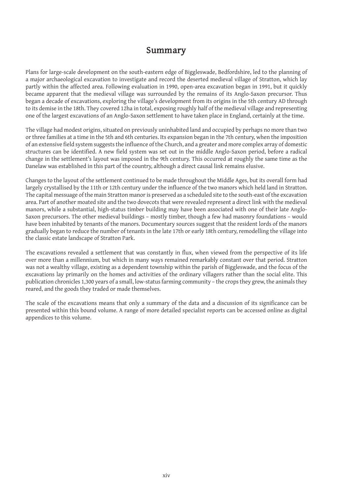### **Summary**

Plans for large-scale development on the south-eastern edge of Biggleswade, Bedfordshire, led to the planning of a major archaeological excavation to investigate and record the deserted medieval village of Stratton, which lay partly within the affected area. Following evaluation in 1990, open-area excavation began in 1991, but it quickly became apparent that the medieval village was surrounded by the remains of its Anglo-Saxon precursor. Thus began a decade of excavations, exploring the village's development from its origins in the 5th century AD through to its demise in the 18th. They covered 12ha in total, exposing roughly half of the medieval village and representing one of the largest excavations of an Anglo-Saxon settlement to have taken place in England, certainly at the time.

The village had modest origins, situated on previously uninhabited land and occupied by perhaps no more than two or three families at a time in the 5th and 6th centuries. Its expansion began in the 7th century, when the imposition of an extensive field system suggests the influence of the Church, and a greater and more complex array of domestic structures can be identified. A new field system was set out in the middle Anglo-Saxon period, before a radical change in the settlement's layout was imposed in the 9th century. This occurred at roughly the same time as the Danelaw was established in this part of the country, although a direct causal link remains elusive.

Changes to the layout of the settlement continued to be made throughout the Middle Ages, but its overall form had largely crystallised by the 11th or 12th century under the influence of the two manors which held land in Stratton. The capital messuage of the main Stratton manor is preserved as a scheduled site to the south-east of the excavation area. Part of another moated site and the two dovecots that were revealed represent a direct link with the medieval manors, while a substantial, high-status timber building may have been associated with one of their late Anglo-Saxon precursors. The other medieval buildings – mostly timber, though a few had masonry foundations – would have been inhabited by tenants of the manors. Documentary sources suggest that the resident lords of the manors gradually began to reduce the number of tenants in the late 17th or early 18th century, remodelling the village into the classic estate landscape of Stratton Park.

The excavations revealed a settlement that was constantly in flux, when viewed from the perspective of its life over more than a millennium, but which in many ways remained remarkably constant over that period. Stratton was not a wealthy village, existing as a dependent township within the parish of Biggleswade, and the focus of the excavations lay primarily on the homes and activities of the ordinary villagers rather than the social elite. This publication chronicles 1,300 years of a small, low-status farming community – the crops they grew, the animals they reared, and the goods they traded or made themselves.

The scale of the excavations means that only a summary of the data and a discussion of its significance can be presented within this bound volume. A range of more detailed specialist reports can be accessed online as digital appendices to this volume.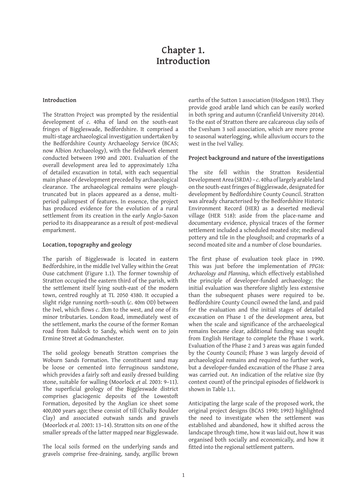### **Chapter 1. Introduction**

#### **Introduction**

The Stratton Project was prompted by the residential development of *c*. 40ha of land on the south-east fringes of Biggleswade, Bedfordshire. It comprised a multi-stage archaeological investigation undertaken by the Bedfordshire County Archaeology Service (BCAS; now Albion Archaeology), with the fieldwork element conducted between 1990 and 2001. Evaluation of the overall development area led to approximately 12ha of detailed excavation in total, with each sequential main phase of development preceded by archaeological clearance. The archaeological remains were ploughtruncated but in places appeared as a dense, multiperiod palimpsest of features. In essence, the project has produced evidence for the evolution of a rural settlement from its creation in the early Anglo-Saxon period to its disappearance as a result of post-medieval emparkment.

#### **Location, topography and geology**

The parish of Biggleswade is located in eastern Bedfordshire, in the middle Ivel Valley within the Great Ouse catchment (Figure 1.1). The former township of Stratton occupied the eastern third of the parish, with the settlement itself lying south-east of the modern town, centred roughly at TL 2050 4380. It occupied a slight ridge running north–south (*c*. 40m OD) between the Ivel, which flows *c*. 2km to the west, and one of its minor tributaries. London Road, immediately west of the settlement, marks the course of the former Roman road from Baldock to Sandy, which went on to join Ermine Street at Godmanchester.

The solid geology beneath Stratton comprises the Woburn Sands Formation. The constituent sand may be loose or cemented into ferruginous sandstone, which provides a fairly soft and easily dressed building stone, suitable for walling (Moorlock *et al.* 2003: 9–11). The superficial geology of the Biggleswade district comprises glaciogenic deposits of the Lowestoft Formation, deposited by the Anglian ice sheet some 400,000 years ago; these consist of till (Chalky Boulder Clay) and associated outwash sands and gravels (Moorlock *et al.* 2003: 13–14). Stratton sits on one of the smaller spreads of the latter mapped near Biggleswade.

The local soils formed on the underlying sands and gravels comprise free-draining, sandy, argillic brown earths of the Sutton 1 association (Hodgson 1983). They provide good arable land which can be easily worked in both spring and autumn (Cranfield University 2014). To the east of Stratton there are calcareous clay soils of the Evesham 3 soil association, which are more prone to seasonal waterlogging, while alluvium occurs to the west in the Ivel Valley.

#### **Project background and nature of the investigations**

The site fell within the Stratton Residential Development Area (SRDA) – *c*. 40ha of largely arable land on the south-east fringes of Biggleswade, designated for development by Bedfordshire County Council. Stratton was already characterised by the Bedfordshire Historic Environment Record (HER) as a deserted medieval village (HER 518): aside from the place-name and documentary evidence, physical traces of the former settlement included a scheduled moated site; medieval pottery and tile in the ploughsoil; and cropmarks of a second moated site and a number of close boundaries.

The first phase of evaluation took place in 1990. This was just before the implementation of *PPG16: Archaeology and Planning*, which effectively established the principle of developer-funded archaeology; the initial evaluation was therefore slightly less extensive than the subsequent phases were required to be. Bedfordshire County Council owned the land, and paid for the evaluation and the initial stages of detailed excavation on Phase 1 of the development area, but when the scale and significance of the archaeological remains became clear, additional funding was sought from English Heritage to complete the Phase 1 work. Evaluation of the Phase 2 and 3 areas was again funded by the County Council; Phase 3 was largely devoid of archaeological remains and required no further work, but a developer-funded excavation of the Phase 2 area was carried out. An indication of the relative size (by context count) of the principal episodes of fieldwork is shown in Table 1.1.

Anticipating the large scale of the proposed work, the original project designs (BCAS 1990; 1992) highlighted the need to investigate when the settlement was established and abandoned, how it shifted across the landscape through time, how it was laid out, how it was organised both socially and economically, and how it fitted into the regional settlement pattern.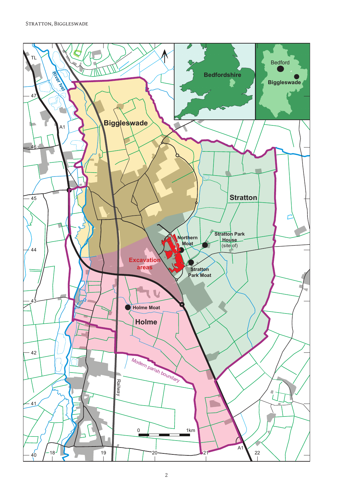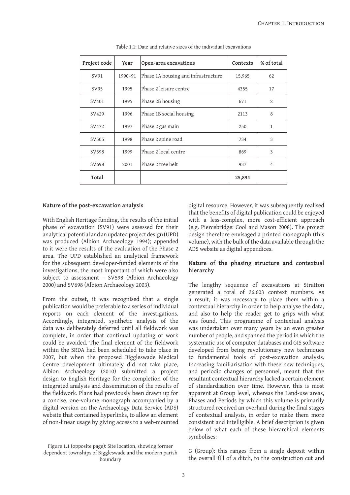| Project code | Year    | Open-area excavations               | Contexts | % of total     |
|--------------|---------|-------------------------------------|----------|----------------|
| SV91         | 1990-91 | Phase 1A housing and infrastructure | 15,965   | 62             |
| SV95         | 1995    | Phase 2 leisure centre              | 4355     | 17             |
| SV401        | 1995    | Phase 2B housing                    | 671      | $\overline{2}$ |
| SV429        | 1996    | Phase 1B social housing             | 2113     | 8              |
| SV472        | 1997    | Phase 2 gas main                    | 250      | $\mathbf{1}$   |
| SV505        | 1998    | Phase 2 spine road                  | 734      | 3              |
| SV598        | 1999    | Phase 2 local centre                | 869      | 3              |
| SV698        | 2001    | Phase 2 tree belt.                  | 937      | 4              |
| Total        |         |                                     | 25,894   |                |

Table 1.1: Date and relative sizes of the individual excavations

#### **Nature of the post-excavation analysis**

With English Heritage funding, the results of the initial phase of excavation (SV91) were assessed for their analytical potential and an updated project design (UPD) was produced (Albion Archaeology 1994); appended to it were the results of the evaluation of the Phase 2 area. The UPD established an analytical framework for the subsequent developer-funded elements of the investigations, the most important of which were also subject to assessment – SV598 (Albion Archaeology 2000) and SV698 (Albion Archaeology 2003).

From the outset, it was recognised that a single publication would be preferable to a series of individual reports on each element of the investigations. Accordingly, integrated, synthetic analysis of the data was deliberately deferred until all fieldwork was complete, in order that continual updating of work could be avoided. The final element of the fieldwork within the SRDA had been scheduled to take place in 2007, but when the proposed Biggleswade Medical Centre development ultimately did not take place, Albion Archaeology (2010) submitted a project design to English Heritage for the completion of the integrated analysis and dissemination of the results of the fieldwork. Plans had previously been drawn up for a concise, one-volume monograph accompanied by a digital version on the Archaeology Data Service (ADS) website that contained hyperlinks, to allow an element of non-linear usage by giving access to a web-mounted

Figure 1.1 (opposite page): Site location, showing former dependent townships of Biggleswade and the modern parish boundary

digital resource. However, it was subsequently realised that the benefits of digital publication could be enjoyed with a less-complex, more cost-efficient approach (e.g. Piercebridge: Cool and Mason 2008). The project design therefore envisaged a printed monograph (this volume), with the bulk of the data available through the ADS website as digital appendices.

#### **Nature of the phasing structure and contextual hierarchy**

The lengthy sequence of excavations at Stratton generated a total of 26,603 context numbers. As a result, it was necessary to place them within a contextual hierarchy in order to help analyse the data, and also to help the reader get to grips with what was found. This programme of contextual analysis was undertaken over many years by an even greater number of people, and spanned the period in which the systematic use of computer databases and GIS software developed from being revolutionary new techniques to fundamental tools of post-excavation analysis. Increasing familiarisation with these new techniques, and periodic changes of personnel, meant that the resultant contextual hierarchy lacked a certain element of standardisation over time. However, this is most apparent at Group level, whereas the Land-use areas, Phases and Periods by which this volume is primarily structured received an overhaul during the final stages of contextual analysis, in order to make them more consistent and intelligible. A brief description is given below of what each of these hierarchical elements symbolises:

G (Group): this ranges from a single deposit within the overall fill of a ditch, to the construction cut and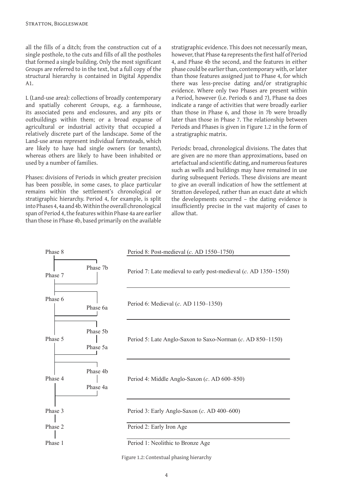all the fills of a ditch; from the construction cut of a single posthole, to the cuts and fills of all the postholes that formed a single building. Only the most significant Groups are referred to in the text, but a full copy of the structural hierarchy is contained in Digital Appendix A1.

L (Land-use area): collections of broadly contemporary and spatially coherent Groups, e.g. a farmhouse, its associated pens and enclosures, and any pits or outbuildings within them; or a broad expanse of agricultural or industrial activity that occupied a relatively discrete part of the landscape. Some of the Land-use areas represent individual farmsteads, which are likely to have had single owners (or tenants), whereas others are likely to have been inhabited or used by a number of families.

Phases: divisions of Periods in which greater precision has been possible, in some cases, to place particular remains within the settlement's chronological or stratigraphic hierarchy. Period 4, for example, is split into Phases 4, 4a and 4b. Within the overall chronological span of Period 4, the features within Phase 4a are earlier than those in Phase 4b, based primarily on the available stratigraphic evidence. This does not necessarily mean, however, that Phase 4a represents the first half of Period 4, and Phase 4b the second, and the features in either phase could be earlier than, contemporary with, or later than those features assigned just to Phase 4, for which there was less-precise dating and/or stratigraphic evidence. Where only two Phases are present within a Period, however (i.e. Periods 6 and 7), Phase 6a does indicate a range of activities that were broadly earlier than those in Phase 6, and those in 7b were broadly later than those in Phase 7. The relationship between Periods and Phases is given in Figure 1.2 in the form of a stratigraphic matrix.

Periods: broad, chronological divisions. The dates that are given are no more than approximations, based on artefactual and scientific dating, and numerous features such as wells and buildings may have remained in use during subsequent Periods. These divisions are meant to give an overall indication of how the settlement at Stratton developed, rather than an exact date at which the developments occurred – the dating evidence is insufficiently precise in the vast majority of cases to allow that.



Figure 1.2: Contextual phasing hierarchy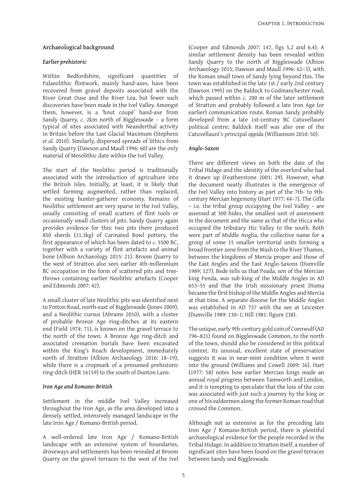#### **Archaeological background**

#### *Earlier prehistoric*

Within Bedfordshire, significant quantities of Palaeolithic flintwork, mainly hand-axes, have been recovered from gravel deposits associated with the River Great Ouse and the River Lea, but fewer such discoveries have been made in the Ivel Valley. Amongst them, however, is a 'bout coupé' hand-axe from Sandy Quarry, *c*. 2km north of Biggleswade – a form typical of sites associated with Neanderthal activity in Britain before the Last Glacial Maximum (Stephens *et al.* 2010). Similarly, dispersed spreads of lithics from Sandy Quarry (Dawson and Maull 1996: 60) are the only material of Mesolithic date within the Ivel Valley.

The start of the Neolithic period is traditionally associated with the introduction of agriculture into the British Isles. Initially, at least, it is likely that settled farming augmented, rather than replaced, the existing hunter-gatherer economy. Remains of Neolithic settlement are very sparse in the Ivel Valley, usually consisting of small scatters of flint tools or occasionally small clusters of pits. Sandy Quarry again provides evidence for this: two pits there produced 850 sherds (11.3kg) of Carinated Bowl pottery, the first appearance of which has been dated to *c.* 3500 BC, together with a variety of flint artefacts and animal bone (Albion Archaeology 2015: 21). Broom Quarry to the west of Stratton also sees earlier 4th-millennium BC occupation in the form of scattered pits and treethrows containing earlier Neolithic artefacts (Cooper and Edmonds 2007: 42).

A small cluster of late Neolithic pits was identified next to Potton Road, north-east of Biggleswade (Jones 2009), and a Neolithic cursus (Abrams 2010), with a cluster of probable Bronze Age ring-ditches at its eastern end (Field 1974: 71), is known on the gravel terrace to the north of the town. A Bronze Age ring-ditch and associated cremation burials have been excavated within the King's Reach development, immediately north of Stratton (Albion Archaeology 2016: 18–19), while there is a cropmark of a presumed prehistoric ring-ditch (HER 16159) to the south of Dunton Lane.

#### *Iron Age and Romano-British*

Settlement in the middle Ivel Valley increased throughout the Iron Age, as the area developed into a densely settled, intensively managed landscape in the late Iron Age / Romano-British period.

A well-ordered late Iron Age / Romano-British landscape with an extensive system of boundaries, droveways and settlements has been revealed at Broom Quarry on the gravel terraces to the west of the Ivel

(Cooper and Edmonds 2007: 147, figs 5.2 and 6.4). A similar settlement density has been revealed within Sandy Quarry to the north of Biggleswade (Albion Archaeology 2015; Dawson and Maull 1996: 62–3), with the Roman small town of Sandy lying beyond this. The town was established in the late 1st / early 2nd century (Dawson 1995) on the Baldock to Godmanchester road, which passed within *c*. 200 m of the later settlement of Stratton and probably followed a late Iron Age (or earlier) communication route. Roman Sandy probably developed from a late 1st-century BC Catuvellauni political centre; Baldock itself was also one of the Catuvellauni's principal *oppida* (Williamson 2010: 50).

#### *Anglo-Saxon*

There are different views on both the date of the Tribal Hidage and the identity of the overlord who had it drawn up (Featherstone 2001: 29). However, what the document neatly illustrates is the emergence of the Ivel Valley into history as part of the 7th- to 9thcentury Mercian hegemony (Hart 1977: 44–7). The Gifla – i.e. the tribal group occupying the Ivel Valley – are assessed at 300 hides, the smallest unit of assessment in the document and the same as that of the Hicca who occupied the tributary Hiz Valley to the south. Both were part of Middle Anglia, the collective name for a group of some 15 smaller territorial units forming a broad frontier zone from the Wash to the River Thames, between the kingdoms of Mercia proper and those of the East Angles and the East Anglo-Saxons (Dumville 1989: 127). Bede tells us that Peada, son of the Mercian king Penda, was sub-king of the Middle Angles in AD 653–55 and that the Irish missionary priest Diuma became the first bishop of the Middle Angles and Mercia at that time. A separate diocese for the Middle Angles was established in AD 737 with the see at Leicester (Dumville 1989: 130–1; Hill 1981: figure 238).

The unique, early 9th-century gold coin of Coenwulf (AD 796–821) found on Biggleswade Common, to the north of the town, should also be considered in this political context. Its unusual, excellent state of preservation suggests it was in near-mint condition when it went into the ground (Williams and Cowell 2009: 36). Hart (1977: 58) notes how earlier Mercian kings made an annual royal progress between Tamworth and London, and it is tempting to speculate that the loss of the coin was associated with just such a journey by the king or one of his ealdormen along the former Roman road that crossed the Common.

Although not as extensive as for the preceding late Iron Age / Romano-British period, there is plentiful archaeological evidence for the people recorded in the Tribal Hidage. In addition to Stratton itself, a number of significant sites have been found on the gravel terraces between Sandy and Biggleswade.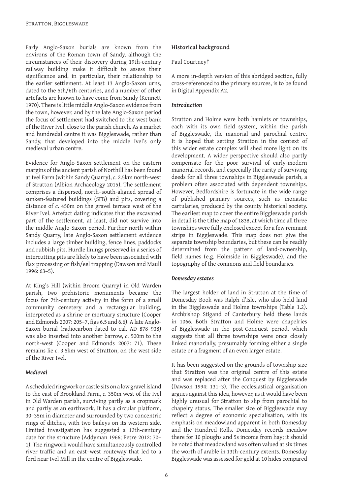Early Anglo-Saxon burials are known from the environs of the Roman town of Sandy, although the circumstances of their discovery during 19th-century railway building make it difficult to assess their significance and, in particular, their relationship to the earlier settlement. At least 13 Anglo-Saxon urns, dated to the 5th/6th centuries, and a number of other artefacts are known to have come from Sandy (Kennett 1970). There is little middle Anglo-Saxon evidence from the town, however, and by the late Anglo-Saxon period the focus of settlement had switched to the west bank of the River Ivel, close to the parish church. As a market and hundredal centre it was Biggleswade, rather than Sandy, that developed into the middle Ivel's only medieval urban centre.

Evidence for Anglo-Saxon settlement on the eastern margins of the ancient parish of Northill has been found at Ivel Farm (within Sandy Quarry), *c*. 2.5km north-west of Stratton (Albion Archaeology 2015). The settlement comprises a dispersed, north–south-aligned spread of sunken-featured buildings (SFB) and pits, covering a distance of *c*. 450m on the gravel terrace west of the River Ivel. Artefact dating indicates that the excavated part of the settlement, at least, did not survive into the middle Anglo-Saxon period. Further north within Sandy Quarry, late Anglo-Saxon settlement evidence includes a large timber building, fence lines, paddocks and rubbish pits. Hurdle linings preserved in a series of intercutting pits are likely to have been associated with flax processing or fish/eel trapping (Dawson and Maull 1996: 63–5).

At King's Hill (within Broom Quarry) in Old Warden parish, two prehistoric monuments became the focus for 7th-century activity in the form of a small community cemetery and a rectangular building, interpreted as a shrine or mortuary structure (Cooper and Edmonds 2007: 205–7, figs 6.5 and 6.6). A late Anglo-Saxon burial (radiocarbon-dated to cal. AD 878–938) was also inserted into another barrow, *c*. 500m to the north-west (Cooper and Edmonds 2007: 71). These remains lie *c*. 3.5km west of Stratton, on the west side of the River Ivel.

#### *Medieval*

A scheduled ringwork or castle sits on a low gravel island to the east of Brookland Farm, *c*. 350m west of the Ivel in Old Warden parish, surviving partly as a cropmark and partly as an earthwork. It has a circular platform, 30–35m in diameter and surrounded by two concentric rings of ditches, with two baileys on its western side. Limited investigation has suggested a 12th-century date for the structure (Addyman 1966; Petre 2012: 70– 1). The ringwork would have simultaneously controlled river traffic and an east–west routeway that led to a ford near Ivel Mill in the centre of Biggleswade.

#### **Historical background**

#### Paul Courtney†

A more in-depth version of this abridged section, fully cross-referenced to the primary sources, is to be found in Digital Appendix A2.

#### *Introduction*

Stratton and Holme were both hamlets or townships, each with its own field system, within the parish of Biggleswade, the manorial and parochial centre. It is hoped that setting Stratton in the context of this wider estate complex will shed more light on its development. A wider perspective should also partly compensate for the poor survival of early-modern manorial records, and especially the rarity of surviving deeds for all three townships in Biggleswade parish, a problem often associated with dependent townships. However, Bedfordshire is fortunate in the wide range of published primary sources, such as monastic cartularies, produced by the county historical society. The earliest map to cover the entire Biggleswade parish in detail is the tithe map of 1838, at which time all three townships were fully enclosed except for a few remnant strips in Biggleswade. This map does not give the separate township boundaries, but these can be readily determined from the pattern of land-ownership, field names (e.g. Holmside in Biggleswade), and the topography of the commons and field boundaries.

#### *Domesday estates*

The largest holder of land in Stratton at the time of Domesday Book was Ralph d'Isle, who also held land in the Biggleswade and Holme townships (Table 1.2). Archbishop Stigand of Canterbury held these lands in 1066. Both Stratton and Holme were chapelries of Biggleswade in the post-Conquest period, which suggests that all three townships were once closely linked manorially, presumably forming either a single estate or a fragment of an even larger estate.

It has been suggested on the grounds of township size that Stratton was the original centre of this estate and was replaced after the Conquest by Biggleswade (Dawson 1994: 131–3). The ecclesiastical organisation argues against this idea, however, as it would have been highly unusual for Stratton to slip from parochial to chapelry status. The smaller size of Biggleswade may reflect a degree of economic specialisation, with its emphasis on meadowland apparent in both Domesday and the Hundred Rolls. Domesday records meadow there for 10 ploughs and 5s income from hay; it should be noted that meadowland was often valued at six times the worth of arable in 13th-century extents. Domesday Biggleswade was assessed for geld at 10 hides compared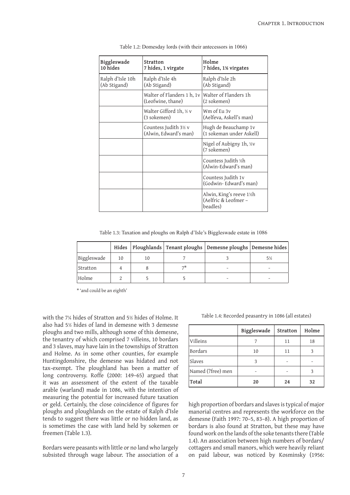| Biggleswade<br>10 hides          | Stratton<br>7 hides, 1 virgate                  | Holme<br>7 hides, 1½ virgates                               |
|----------------------------------|-------------------------------------------------|-------------------------------------------------------------|
| Ralph d'Isle 10h<br>(Ab Stigand) | Ralph d'Isle 4h<br>(Ab Stigand)                 | Ralph d'Isle 2h<br>(Ab Stigand)                             |
|                                  | Walter of Flanders 1 h, 1v<br>(Leofwine, thane) | Walter of Flanders 1h<br>(2 sokemen)                        |
|                                  | Walter Gifford 1h, ½ v<br>(3 sokemen)           | Wm of Eu 3v<br>(Aelfeva, Askell's man)                      |
|                                  | Countess Judith 3½ v<br>(Alwin, Edward's man)   | Hugh de Beauchamp 1v<br>(1 sokeman under Askell)            |
|                                  |                                                 | Nigel of Aubigny 1h, 1/2V<br>(7 sokemen)                    |
|                                  |                                                 | Countess Judith 1/2h<br>(Alwin-Edward's man)                |
|                                  |                                                 | Countess Judith 1v<br>(Godwin-Edward's man)                 |
|                                  |                                                 | Alwin, King's reeve 1½h<br>(Aelfric & Leofmer -<br>beadles) |

Table 1.2: Domesday lords (with their antecessors in 1066)

Table 1.3: Taxation and ploughs on Ralph d'Isle's Biggleswade estate in 1086

|             |    |  | Hides   Ploughlands   Tenant ploughs   Demesne ploughs   Demesne hides |    |
|-------------|----|--|------------------------------------------------------------------------|----|
| Biggleswade | 10 |  |                                                                        | 5½ |
| Stratton    |    |  |                                                                        |    |
| Holme       |    |  |                                                                        |    |

\* 'and could be an eighth'

with the 7¼ hides of Stratton and 5½ hides of Holme. It also had 5½ hides of land in demesne with 3 demesne ploughs and two mills, although some of this demesne, the tenantry of which comprised 7 villeins, 10 bordars and 3 slaves, may have lain in the townships of Stratton and Holme. As in some other counties, for example Huntingdonshire, the demesne was hidated and not tax-exempt. The ploughland has been a matter of long controversy. Roffe (2000: 149–65) argued that it was an assessment of the extent of the taxable arable (warland) made in 1086, with the intention of measuring the potential for increased future taxation or geld. Certainly, the close coincidence of figures for ploughs and ploughlands on the estate of Ralph d'Isle tends to suggest there was little or no hidden land, as is sometimes the case with land held by sokemen or freemen (Table 1.3).

Bordars were peasants with little or no land who largely subsisted through wage labour. The association of a

|  |  |  |  |  | Table 1.4: Recorded peasantry in 1086 (all estates) |  |  |  |  |  |
|--|--|--|--|--|-----------------------------------------------------|--|--|--|--|--|
|--|--|--|--|--|-----------------------------------------------------|--|--|--|--|--|

|                   | Biggleswade | Stratton | Holme |
|-------------------|-------------|----------|-------|
| Villeins          |             | 11       | 18    |
| <b>Bordars</b>    | 10          | 11       | 3     |
| Slaves            | 3           |          |       |
| Named (?free) men |             |          | 3     |
| Total             | 20          | 24       | 32    |

high proportion of bordars and slaves is typical of major manorial centres and represents the workforce on the demesne (Faith 1997: 70–5, 83–8). A high proportion of bordars is also found at Stratton, but these may have found work on the lands of the soke tenants there (Table 1.4). An association between high numbers of bordars/ cottagers and small manors, which were heavily reliant on paid labour, was noticed by Kosminsky (1956: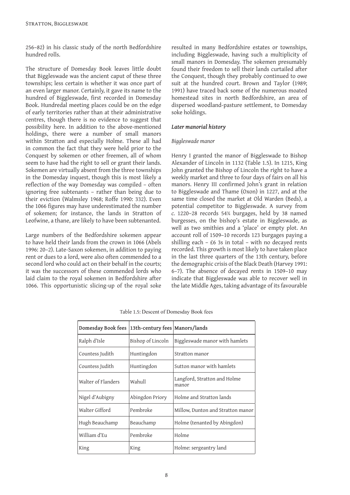256–82) in his classic study of the north Bedfordshire hundred rolls.

The structure of Domesday Book leaves little doubt that Biggleswade was the ancient caput of these three townships; less certain is whether it was once part of an even larger manor. Certainly, it gave its name to the hundred of Biggleswade, first recorded in Domesday Book. Hundredal meeting places could be on the edge of early territories rather than at their administrative centres, though there is no evidence to suggest that possibility here. In addition to the above-mentioned holdings, there were a number of small manors within Stratton and especially Holme. These all had in common the fact that they were held prior to the Conquest by sokemen or other freemen, all of whom seem to have had the right to sell or grant their lands. Sokemen are virtually absent from the three townships in the Domesday inquest, though this is most likely a reflection of the way Domesday was compiled – often ignoring free subtenants – rather than being due to their eviction (Walmsley 1968; Roffe 1990: 332). Even the 1066 figures may have underestimated the number of sokemen; for instance, the lands in Stratton of Leofwine, a thane, are likely to have been subtenanted.

Large numbers of the Bedfordshire sokemen appear to have held their lands from the crown in 1066 (Abels 1996: 20–2). Late-Saxon sokemen, in addition to paying rent or dues to a lord, were also often commended to a second lord who could act on their behalf in the courts; it was the successors of these commended lords who laid claim to the royal sokemen in Bedfordshire after 1066. This opportunistic slicing-up of the royal soke

resulted in many Bedfordshire estates or townships, including Biggleswade, having such a multiplicity of small manors in Domesday. The sokemen presumably found their freedom to sell their lands curtailed after the Conquest, though they probably continued to owe suit at the hundred court. Brown and Taylor (1989; 1991) have traced back some of the numerous moated homestead sites in north Bedfordshire, an area of dispersed woodland-pasture settlement, to Domesday soke holdings.

#### *Later manorial history*

#### *Biggleswade manor*

Henry I granted the manor of Biggleswade to Bishop Alexander of Lincoln in 1132 (Table 1.5). In 1215, King John granted the Bishop of Lincoln the right to have a weekly market and three to four days of fairs on all his manors. Henry III confirmed John's grant in relation to Biggleswade and Thame (Oxon) in 1227, and at the same time closed the market at Old Warden (Beds), a potential competitor to Biggleswade. A survey from *c.* 1220–28 records 54¾ burgages, held by 38 named burgesses, on the bishop's estate in Biggleswade, as well as two smithies and a 'place' or empty plot. An account roll of 1509–10 records 123 burgages paying a shilling each – £6 3s in total – with no decayed rents recorded. This growth is most likely to have taken place in the last three quarters of the 13th century, before the demographic crisis of the Black Death (Harvey 1991: 6–7). The absence of decayed rents in 1509–10 may indicate that Biggleswade was able to recover well in the late Middle Ages, taking advantage of its favourable

| Domesday Book fees | 13th-century fees   Manors/lands |                                       |
|--------------------|----------------------------------|---------------------------------------|
| Ralph d'Isle       | Bishop of Lincoln                | Biggleswade manor with hamlets        |
| Countess Judith    | Huntingdon                       | Stratton manor                        |
| Countess Judith    | Huntingdon                       | Sutton manor with hamlets             |
| Walter of Flanders | Wahull                           | Langford, Stratton and Holme<br>manor |
| Nigel d'Aubigny    | Abingdon Priory                  | Holme and Stratton lands              |
| Walter Gifford     | Pembroke                         | Millow, Dunton and Stratton manor     |
| Hugh Beauchamp     | Beauchamp                        | Holme (tenanted by Abingdon)          |
| William d'Eu       | Pembroke                         | Holme                                 |
| King               | King                             | Holme: sergeantry land                |

Table 1.5: Descent of Domesday Book fees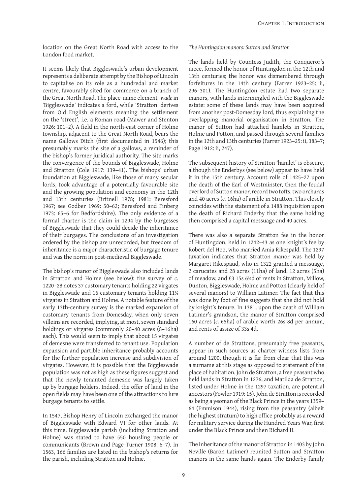location on the Great North Road with access to the London food market.

It seems likely that Biggleswade's urban development represents a deliberate attempt by the Bishop of Lincoln to capitalise on its role as a hundredal and market centre, favourably sited for commerce on a branch of the Great North Road. The place-name element *-wade* in 'Biggleswade' indicates a ford, while 'Stratton' derives from Old English elements meaning the settlement on the 'street', i.e. a Roman road (Mawer and Stenton 1926: 101–2). A field in the north-east corner of Holme township, adjacent to the Great North Road, bears the name Gallows Ditch (first documented in 1546); this presumably marks the site of a gallows, a reminder of the bishop's former juridical authority. The site marks the convergence of the bounds of Biggleswade, Holme and Stratton (Cole 1917: 139–41). The bishops' urban foundation at Biggleswade, like those of many secular lords, took advantage of a potentially favourable site and the growing population and economy in the 12th and 13th centuries (Britnell 1978; 1981; Beresford 1967; see Godber 1969: 50–62; Beresford and Finberg 1973: 65–6 for Bedfordshire). The only evidence of a formal charter is the claim in 1294 by the burgesses of Biggleswade that they could decide the inheritance of their burgages. The conclusions of an investigation ordered by the bishop are unrecorded, but freedom of inheritance is a major characteristic of burgage tenure and was the norm in post-medieval Biggleswade.

The bishop's manor of Biggleswade also included lands in Stratton and Holme (see below): the survey of *c*. 1220–28 notes 37 customary tenants holding 22 virgates in Biggleswade and 16 customary tenants holding 11¼ virgates in Stratton and Holme. A notable feature of the early 13th-century survey is the marked expansion of customary tenants from Domesday, when only seven villeins are recorded, implying, at most, seven standard holdings or virgates (commonly 20–40 acres (8–16ha) each). This would seem to imply that about 15 virgates of demesne were transferred to tenant use. Population expansion and partible inheritance probably accounts for the further population increase and subdivision of virgates. However, it is possible that the Biggleswade population was not as high as these figures suggest and that the newly tenanted demesne was largely taken up by burgage holders. Indeed, the offer of land in the open fields may have been one of the attractions to lure burgage tenants to settle.

In 1547, Bishop Henry of Lincoln exchanged the manor of Biggleswade with Edward VI for other lands. At this time, Biggleswade parish (including Stratton and Holme) was stated to have 550 housling people or communicants (Brown and Page-Turner 1908: 6–7). In 1563, 166 families are listed in the bishop's returns for the parish, including Stratton and Holme.

#### *The Huntingdon manors: Sutton and Stratton*

The lands held by Countess Judith, the Conqueror's niece, formed the honor of Huntingdon in the 12th and 13th centuries; the honor was dismembered through forfeitures in the 14th century (Farrer 1923–25: ii, 296–301). The Huntingdon estate had two separate manors, with lands intermingled with the Biggleswade estate: some of these lands may have been acquired from another post-Domesday lord, thus explaining the overlapping manorial organisation in Stratton. The manor of Sutton had attached hamlets in Stratton, Holme and Potton, and passed through several families in the 12th and 13th centuries (Farrer 1923–25: ii, 383–7; Page 1912: ii, 247).

The subsequent history of Stratton 'hamlet' is obscure, although the Enderbys (see below) appear to have held it in the 15th century. Account rolls of 1425–27 upon the death of the Earl of Westminster, then the feudal overlord of Sutton manor, record two tofts, two orchards and 40 acres (*c.* 16ha) of arable in Stratton. This closely coincides with the statement of a 1488 inquisition upon the death of Richard Enderby that the same holding then comprised a capital messuage and 40 acres.

There was also a separate Stratton fee in the honor of Huntingdon, held in 1242–43 as one knight's fee by Robert del Hoo, who married Amia Rikespald. The 1297 taxation indicates that Stratton manor was held by Margaret Rikespaud, who in 1322 granted a messuage, 2 carucates and 28 acres (11ha) of land, 12 acres (5ha) of meadow, and £3 15s 6¼d of rents in Stratton, Millow, Dunton, Biggleswade, Holme and Potton (clearly held of several manors) to William Latimer. The fact that this was done by foot of fine suggests that she did not hold by knight's tenure. In 1381, upon the death of William Latimer's grandson, the manor of Stratton comprised 160 acres (*c.* 65ha) of arable worth 26s 8d per annum, and rents of assize of 33s 4d.

A number of de Strattons, presumably free peasants, appear in such sources as charter-witness lists from around 1200, though it is far from clear that this was a surname at this stage as opposed to statement of the place of habitation. John de Stratton, a free peasant who held lands in Stratton in 1276, and Matilda de Stratton, listed under Holme in the 1297 taxation, are potential ancestors (Fowler 1919: 15). John de Stratton is recorded as being a yeoman of the Black Prince in the years 1359– 64 (Emmison 1944), rising from the peasantry (albeit the highest stratum) to high office probably as a reward for military service during the Hundred Years War, first under the Black Prince and then Richard II.

The inheritance of the manor of Stratton in 1403 by John Neville (Baron Latimer) reunited Sutton and Stratton manors in the same hands again. The Enderby family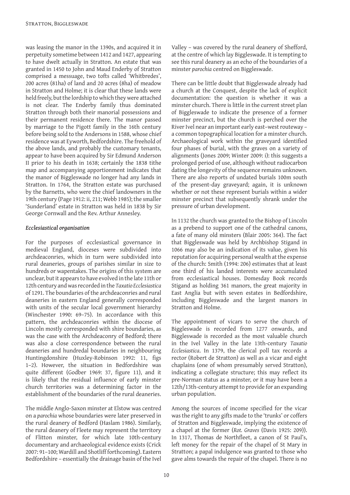was leasing the manor in the 1390s, and acquired it in perpetuity sometime between 1412 and 1427, appearing to have dwelt actually in Stratton. An estate that was granted in 1450 to John and Maud Enderby of Stratton comprised a messuage, two tofts called 'Whitbredes', 200 acres (81ha) of land and 20 acres (8ha) of meadow in Stratton and Holme; it is clear that these lands were held freely, but the lordship to which they were attached is not clear. The Enderby family thus dominated Stratton through both their manorial possessions and their permanent residence there. The manor passed by marriage to the Pigott family in the 16th century before being sold to the Andersons in 1588, whose chief residence was at Eyworth, Bedfordshire. The freehold of the above lands, and probably the customary tenants, appear to have been acquired by Sir Edmund Anderson II prior to his death in 1638; certainly the 1838 tithe map and accompanying apportionment indicates that the manor of Biggleswade no longer had any lands in Stratton. In 1764, the Stratton estate was purchased by the Barnetts, who were the chief landowners in the 19th century (Page 1912: ii, 211; Webb 1985); the smaller 'Sunderland' estate in Stratton was held in 1838 by Sir George Cornwall and the Rev. Arthur Annesley.

#### *Ecclesiastical organisation*

For the purposes of ecclesiastical governance in medieval England, dioceses were subdivided into archdeaconries, which in turn were subdivided into rural deaneries, groups of parishes similar in size to hundreds or wapentakes. The origins of this system are unclear, but it appears to have evolved in the late 11th or 12th century and was recorded in the *Taxatio Ecclesiastica* of 1291. The boundaries of the archdeaconries and rural deaneries in eastern England generally corresponded with units of the secular local government hierarchy (Winchester 1990: 69–75). In accordance with this pattern, the archdeaconries within the diocese of Lincoln mostly corresponded with shire boundaries, as was the case with the Archdeaconry of Bedford; there was also a close correspondence between the rural deaneries and hundredal boundaries in neighbouring Huntingdonshire (Huxley-Robinson 1992: 11, figs 1–2). However, the situation in Bedfordshire was quite different (Godber 1969: 37, figure 11), and it is likely that the residual influence of early minster church territories was a determining factor in the establishment of the boundaries of the rural deaneries.

The middle Anglo-Saxon minster at Elstow was centred on a *parochia* whose boundaries were later preserved in the rural deanery of Bedford (Haslam 1986). Similarly, the rural deanery of Fleete may represent the territory of Flitton minster, for which late 10th-century documentary and archaeological evidence exists (Crick 2007: 91–100; Wardill and Shotliff forthcoming). Eastern Bedfordshire – essentially the drainage basin of the Ivel

Valley – was covered by the rural deanery of Shefford, at the centre of which lay Biggleswade. It is tempting to see this rural deanery as an echo of the boundaries of a minster *parochia* centred on Biggleswade.

There can be little doubt that Biggleswade already had a church at the Conquest, despite the lack of explicit documentation: the question is whether it was a minster church. There is little in the current street plan of Biggleswade to indicate the presence of a former minster precinct, but the church is perched over the River Ivel near an important early east–west routeway – a common topographical location for a minster church. Archaeological work within the graveyard identified four phases of burial, with the graves on a variety of alignments (Jones 2009; Winter 2009: i): this suggests a prolonged period of use, although without radiocarbon dating the longevity of the sequence remains unknown. There are also reports of undated burials 100m south of the present-day graveyard; again, it is unknown whether or not these represent burials within a wider minster precinct that subsequently shrank under the pressure of urban development.

In 1132 the church was granted to the Bishop of Lincoln as a prebend to support one of the cathedral canons, a fate of many old minsters (Blair 2005: 364). The fact that Biggleswade was held by Archbishop Stigand in 1066 may also be an indication of its value, given his reputation for acquiring personal wealth at the expense of the church: Smith (1994: 206) estimates that at least one third of his landed interests were accumulated from ecclesiastical houses. Domesday Book records Stigand as holding 361 manors, the great majority in East Anglia but with seven estates in Bedfordshire, including Biggleswade and the largest manors in Stratton and Holme.

The appointment of vicars to serve the church of Biggleswade is recorded from 1277 onwards, and Biggleswade is recorded as the most valuable church in the Ivel Valley in the late 13th-century *Taxatio Ecclesiastica*. In 1379, the clerical poll tax records a rector (Robert de Stratton) as well as a vicar and eight chaplains (one of whom presumably served Stratton), indicating a collegiate structure; this may reflect its pre-Norman status as a minster, or it may have been a 12th/13th-century attempt to provide for an expanding urban population.

Among the sources of income specified for the vicar was the right to any gifts made to the 'trunks' or coffers of Stratton and Biggleswade, implying the existence of a chapel at the former (*Rot. Graves* (Davis 1925: 209)). In 1317, Thomas de Northfleet, a canon of St Paul's, left money for the repair of the chapel of St Mary in Stratton; a papal indulgence was granted to those who gave alms towards the repair of the chapel. There is no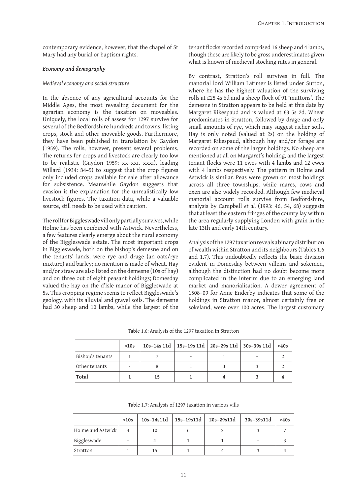contemporary evidence, however, that the chapel of St Mary had any burial or baptism rights.

#### *Economy and demography*

#### *Medieval economy and social structure*

In the absence of any agricultural accounts for the Middle Ages, the most revealing document for the agrarian economy is the taxation on moveables. Uniquely, the local rolls of assess for 1297 survive for several of the Bedfordshire hundreds and towns, listing crops, stock and other moveable goods. Furthermore, they have been published in translation by Gaydon (1959). The rolls, however, present several problems. The returns for crops and livestock are clearly too low to be realistic (Gaydon 1959: xx–xxi, xxxi), leading Willard (1934: 84–5) to suggest that the crop figures only included crops available for sale after allowance for subsistence. Meanwhile Gaydon suggests that evasion is the explanation for the unrealistically low livestock figures. The taxation data, while a valuable source, still needs to be used with caution.

The roll for Biggleswade vill only partially survives, while Holme has been combined with Astwick. Nevertheless, a few features clearly emerge about the rural economy of the Biggleswade estate. The most important crops in Biggleswade, both on the bishop's demesne and on the tenants' lands, were rye and drage (an oats/rye mixture) and barley; no mention is made of wheat. Hay and/or straw are also listed on the demesne (10s of hay) and on three out of eight peasant holdings; Domesday valued the hay on the d'Isle manor of Biggleswade at 5s. This cropping regime seems to reflect Biggleswade's geology, with its alluvial and gravel soils. The demesne had 30 sheep and 10 lambs, while the largest of the tenant flocks recorded comprised 16 sheep and 4 lambs, though these are likely to be gross underestimates given what is known of medieval stocking rates in general.

By contrast, Stratton's roll survives in full. The manorial lord William Latimer is listed under Sutton, where he has the highest valuation of the surviving rolls at £25 4s 6d and a sheep flock of 91 'muttons'. The demesne in Stratton appears to be held at this date by Margaret Rikespaud and is valued at £3 5s 2d. Wheat predominates in Stratton, followed by drage and only small amounts of rye, which may suggest richer soils. Hay is only noted (valued at 2s) on the holding of Margaret Rikespaud, although hay and/or forage are recorded on some of the larger holdings. No sheep are mentioned at all on Margaret's holding, and the largest tenant flocks were 11 ewes with 4 lambs and 12 ewes with 4 lambs respectively. The pattern in Holme and Astwick is similar. Peas were grown on most holdings across all three townships, while mares, cows and oxen are also widely recorded. Although few medieval manorial account rolls survive from Bedfordshire, analysis by Campbell *et al.* (1993: 46, 54, 68) suggests that at least the eastern fringes of the county lay within the area regularly supplying London with grain in the late 13th and early 14th century.

Analysis of the 1297 taxation reveals a binary distribution of wealth within Stratton and its neighbours (Tables 1.6 and 1.7). This undoubtedly reflects the basic division evident in Domesday between villeins and sokemen, although the distinction had no doubt become more complicated in the interim due to an emerging land market and manorialisation. A dower agreement of 1508–09 for Anne Enderby indicates that some of the holdings in Stratton manor, almost certainly free or sokeland, were over 100 acres. The largest customary

Table 1.6: Analysis of the 1297 taxation in Stratton

|                  | $\leq 10s$ |    |  | 10s-14s 11d   15s-19s 11d   20s-29s 11d   30s-39s 11d | >40s |
|------------------|------------|----|--|-------------------------------------------------------|------|
| Bishop's tenants |            |    |  |                                                       |      |
| Other tenants    |            |    |  |                                                       |      |
| 'Total           |            | 15 |  |                                                       |      |

Table 1.7: Analysis of 1297 taxation in various vills

|                   | ~10s | $10s - 14s11d$ | $15s-19s11d$ | 20s-29s11d | 30s-39s11d | >40s |
|-------------------|------|----------------|--------------|------------|------------|------|
| Holme and Astwick |      | 10             |              |            |            |      |
| Biggleswade       | -    |                |              |            |            |      |
| Stratton          |      | 15             |              |            |            |      |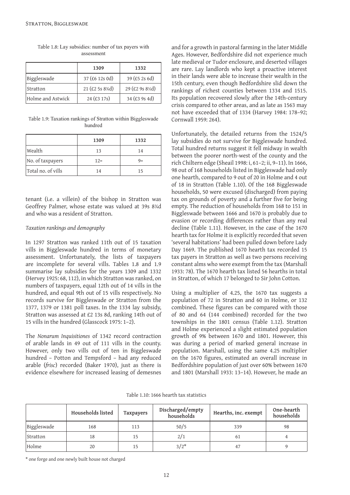|                   | 1309               | 1332            |
|-------------------|--------------------|-----------------|
| Biggleswade       | 37 (£6 12s 0d)     | $39$ (£5 2s 6d) |
| Stratton          | 21 (£2 5s $8\%$ d) | 29 (£2 9s 8½d)  |
| Holme and Astwick | $24$ (£3 17s)      | $34$ (£3 9s 4d) |

Table 1.8: Lay subsidies: number of tax payers with assessment

Table 1.9: Taxation rankings of Stratton within Biggleswade hundred

|                    | 1309   | 1332  |
|--------------------|--------|-------|
| Wealth             | 13     | 14    |
| No. of taxpayers   | $12 =$ | $9 =$ |
| Total no. of vills | 14     | 15    |

tenant (i.e. a villein) of the bishop in Stratton was Geoffrey Palmer, whose estate was valued at 39s 8¾d and who was a resident of Stratton.

#### *Taxation rankings and demography*

In 1297 Stratton was ranked 11th out of 15 taxation vills in Biggleswade hundred in terms of monetary assessment. Unfortunately, the lists of taxpayers are incomplete for several vills. Tables 1.8 and 1.9 summarise lay subsidies for the years 1309 and 1332 (Hervey 1925: 68, 112), in which Stratton was ranked, on numbers of taxpayers, equal 12th out of 14 vills in the hundred, and equal 9th out of 15 vills respectively. No records survive for Biggleswade or Stratton from the 1377, 1379 or 1381 poll taxes. In the 1334 lay subsidy, Stratton was assessed at £2 13s 8d, ranking 14th out of 15 vills in the hundred (Glasscock 1975: 1–2).

The *Nonarum Inquisitiones* of 1342 record contraction of arable lands in 49 out of 111 vills in the county. However, only two vills out of ten in Biggleswade hundred – Potton and Tempsford – had any reduced arable (*frisc*) recorded (Baker 1970), just as there is evidence elsewhere for increased leasing of demesnes

and for a growth in pastoral farming in the later Middle Ages. However, Bedfordshire did not experience much late medieval or Tudor enclosure, and deserted villages are rare. Lay landlords who kept a proactive interest in their lands were able to increase their wealth in the 15th century, even though Bedfordshire slid down the rankings of richest counties between 1334 and 1515. Its population recovered slowly after the 14th-century crisis compared to other areas, and as late as 1563 may not have exceeded that of 1334 (Harvey 1984: 178–92; Cornwall 1959: 264).

Unfortunately, the detailed returns from the 1524/5 lay subsidies do not survive for Biggleswade hundred. Total hundred returns suggest it fell midway in wealth between the poorer north-west of the county and the rich Chiltern edge (Sheail 1998: i, 61–2; ii, 9–11). In 1666, 98 out of 168 households listed in Biggleswade had only one hearth, compared to 9 out of 20 in Holme and 4 out of 18 in Stratton (Table 1.10). Of the 168 Biggleswade households, 50 were excused (discharged) from paying tax on grounds of poverty and a further five for being empty. The reduction of households from 168 to 151 in Biggleswade between 1666 and 1670 is probably due to evasion or recording differences rather than any real decline (Table 1.11). However, in the case of the 1670 hearth tax for Holme it is explicitly recorded that seven 'several habitations' had been pulled down before Lady Day 1669. The published 1670 hearth tax recorded 15 tax payers in Stratton as well as two persons receiving constant alms who were exempt from the tax (Marshall 1933: 78). The 1670 hearth tax listed 56 hearths in total in Stratton, of which 17 belonged to Sir John Cotton.

Using a multiplier of 4.25, the 1670 tax suggests a population of 72 in Stratton and 60 in Holme, or 132 combined. These figures can be compared with those of 80 and 64 (144 combined) recorded for the two townships in the 1801 census (Table 1.12). Stratton and Holme experienced a slight estimated population growth of 9% between 1670 and 1801. However, this was during a period of marked general increase in population. Marshall, using the same 4.25 multiplier on the 1670 figures, estimated an overall increase in Bedfordshire population of just over 60% between 1670 and 1801 (Marshall 1933: 13–14). However, he made an

Table 1.10: 1666 hearth tax statistics

|             | Households listed |     | Discharged/empty<br>households | Hearths, inc. exempt | One-hearth<br>households |
|-------------|-------------------|-----|--------------------------------|----------------------|--------------------------|
| Biggleswade | 168               | 113 | 50/5                           | 339                  | 98                       |
| Stratton    | 18                | 15  | 2/1                            | 61                   |                          |
| Holme       | 20                |     | $3/2*$                         | 47                   |                          |

\* one forge and one newly built house not charged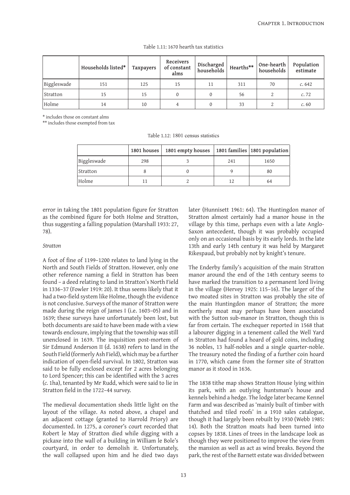|             | Households listed* | Taxpayers | Receivers<br>of constant<br>alms | Discharged<br>households | Hearths** | One-hearth<br>households | Population<br>estimate |
|-------------|--------------------|-----------|----------------------------------|--------------------------|-----------|--------------------------|------------------------|
| Biggleswade | 151                | 125       | 15                               | 11                       | 311       | 70                       | c.642                  |
| Stratton    | 15                 | 15        |                                  |                          | 56        |                          | c.72                   |
| Holme       | 14                 | 10        |                                  |                          | 33        |                          | c.60                   |

#### Table 1.11: 1670 hearth tax statistics

\* includes those on constant alms

\*\* includes those exempted from tax

Table 1.12: 1801 census statistics

|             | 1801 houses $ $ | 1801 empty houses |     | 1801 families 1801 population |
|-------------|-----------------|-------------------|-----|-------------------------------|
| Biggleswade | 298             |                   | 241 | 1650                          |
| Stratton    |                 |                   |     | 80                            |
| Holme       |                 |                   | 12  | 64                            |

error in taking the 1801 population figure for Stratton as the combined figure for both Holme and Stratton, thus suggesting a falling population (Marshall 1933: 27, 78).

#### *Stratton*

A foot of fine of 1199–1200 relates to land lying in the North and South Fields of Stratton. However, only one other reference naming a field in Stratton has been found – a deed relating to land in Stratton's North Field in 1336–37 (Fowler 1919: 20). It thus seems likely that it had a two-field system like Holme, though the evidence is not conclusive. Surveys of the manor of Stratton were made during the reign of James I (i.e. 1603–05) and in 1639; these surveys have unfortunately been lost, but both documents are said to have been made with a view towards enclosure, implying that the township was still unenclosed in 1639. The inquisition post-mortem of Sir Edmund Anderson II (d. 1638) refers to land in the South Field (formerly Ash Field), which may be a further indication of open-field survival. In 1802, Stratton was said to be fully enclosed except for 2 acres belonging to Lord Spencer; this can be identified with the 3 acres (*c.* 1ha), tenanted by Mr Rudd, which were said to lie in Stratton field in the 1722–44 survey.

The medieval documentation sheds little light on the layout of the village. As noted above, a chapel and an adjacent cottage (granted to Harrold Priory) are documented. In 1275, a coroner's court recorded that Robert le May of Stratton died while digging with a pickaxe into the wall of a building in William le Bole's courtyard, in order to demolish it. Unfortunately, the wall collapsed upon him and he died two days

later (Hunnisett 1961: 64). The Huntingdon manor of Stratton almost certainly had a manor house in the village by this time, perhaps even with a late Anglo-Saxon antecedent, though it was probably occupied only on an occasional basis by its early lords. In the late 13th and early 14th century it was held by Margaret Rikespaud, but probably not by knight's tenure.

The Enderby family's acquisition of the main Stratton manor around the end of the 14th century seems to have marked the transition to a permanent lord living in the village (Hervey 1925: 115–16). The larger of the two moated sites in Stratton was probably the site of the main Huntingdon manor of Stratton; the more northerly moat may perhaps have been associated with the Sutton sub-manor in Stratton, though this is far from certain. The exchequer reported in 1568 that a labourer digging in a tenement called the Well Yard in Stratton had found a hoard of gold coins, including 36 nobles, 13 half-nobles and a single quarter-noble. The treasury noted the finding of a further coin hoard in 1770, which came from the former site of Stratton manor as it stood in 1636.

The 1838 tithe map shows Stratton House lying within its park, with an outlying huntsman's house and kennels behind a hedge. The lodge later became Kennel Farm and was described as 'mainly built of timber with thatched and tiled roofs' in a 1910 sales catalogue, though it had largely been rebuilt by 1930 (Webb 1985: 14). Both the Stratton moats had been turned into copses by 1838. Lines of trees in the landscape look as though they were positioned to improve the view from the mansion as well as act as wind breaks. Beyond the park, the rest of the Barnett estate was divided between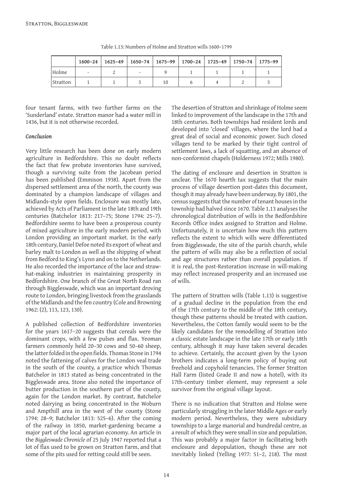|          | 1600-24                  |                          |    | $1625-49$   $1650-74$   $1675-99$   $1700-24$   $1725-49$   $1750-74$   $1775-99$ |  |
|----------|--------------------------|--------------------------|----|-----------------------------------------------------------------------------------|--|
| Holme    | $\overline{\phantom{a}}$ | $\overline{\phantom{a}}$ |    |                                                                                   |  |
| Stratton |                          |                          | 10 |                                                                                   |  |

Table 1.13: Numbers of Holme and Stratton wills 1600–1799

four tenant farms, with two further farms on the 'Sunderland' estate. Stratton manor had a water mill in 1436, but it is not otherwise recorded.

#### *Conclusion*

Very little research has been done on early modern agriculture in Bedfordshire. This no doubt reflects the fact that few probate inventories have survived, though a surviving suite from the Jacobean period has been published (Emmison 1938). Apart from the dispersed settlement area of the north, the county was dominated by a champion landscape of villages and Midlands-style open fields. Enclosure was mostly late, achieved by Acts of Parliament in the late 18th and 19th centuries (Batchelor 1813: 217–75; Stone 1794: 25–7). Bedfordshire seems to have been a prosperous county of mixed agriculture in the early modern period, with London providing an important market. In the early 18th century, Daniel Defoe noted its export of wheat and barley malt to London as well as the shipping of wheat from Bedford to King's Lynn and on to the Netherlands. He also recorded the importance of the lace and strawhat-making industries in maintaining prosperity in Bedfordshire. One branch of the Great North Road ran through Biggleswade, which was an important droving route to London, bringing livestock from the grasslands of the Midlands and the fen country (Cole and Browning 1962: (2), 113, 123, 130).

A published collection of Bedfordshire inventories for the years 1617–20 suggests that cereals were the dominant crops, with a few pulses and flax. Yeoman farmers commonly held 20–30 cows and 50–60 sheep, the latter folded in the open fields. Thomas Stone in 1794 noted the fattening of calves for the London veal trade in the south of the county, a practice which Thomas Batchelor in 1813 stated as being concentrated in the Biggleswade area. Stone also noted the importance of butter production in the southern part of the county, again for the London market. By contrast, Batchelor noted dairying as being concentrated in the Woburn and Ampthill area in the west of the county (Stone 1794: 28–9; Batchelor 1813: 525–6). After the coming of the railway in 1850, market-gardening became a major part of the local agrarian economy. An article in the *Biggleswade Chronicle* of 25 July 1947 reported that a lot of flax used to be grown on Stratton Farm, and that some of the pits used for retting could still be seen.

The desertion of Stratton and shrinkage of Holme seem linked to improvement of the landscape in the 17th and 18th centuries. Both townships had resident lords and developed into 'closed' villages, where the lord had a great deal of social and economic power. Such closed villages tend to be marked by their tight control of settlement laws, a lack of squatting, and an absence of non-conformist chapels (Holderness 1972; Mills 1980).

The dating of enclosure and desertion in Stratton is unclear. The 1670 hearth tax suggests that the main process of village desertion post-dates this document, though it may already have been underway. By 1801, the census suggests that the number of tenant houses in the township had halved since 1670. Table 1.13 analyses the chronological distribution of wills in the Bedfordshire Records Office index assigned to Stratton and Holme. Unfortunately, it is uncertain how much this pattern reflects the extent to which wills were differentiated from Biggleswade, the site of the parish church, while the pattern of wills may also be a reflection of social and age structures rather than overall population. If it is real, the post-Restoration increase in will-making may reflect increased prosperity and an increased use of wills.

The pattern of Stratton wills (Table 1.13) is suggestive of a gradual decline in the population from the end of the 17th century to the middle of the 18th century, though these patterns should be treated with caution. Nevertheless, the Cotton family would seem to be the likely candidates for the remodelling of Stratton into a classic estate landscape in the late 17th or early 18th century, although it may have taken several decades to achieve. Certainly, the account given by the Lyson brothers indicates a long-term policy of buying out freehold and copyhold tenancies. The former Stratton Hall Farm (listed Grade II and now a hotel), with its 17th-century timber element, may represent a sole survivor from the original village layout.

There is no indication that Stratton and Holme were particularly struggling in the later Middle Ages or early modern period. Nevertheless, they were subsidiary townships to a large manorial and hundredal centre, as a result of which they were small in size and population. This was probably a major factor in facilitating both enclosure and depopulation, though these are not inevitably linked (Yelling 1977: 51–2, 218). The most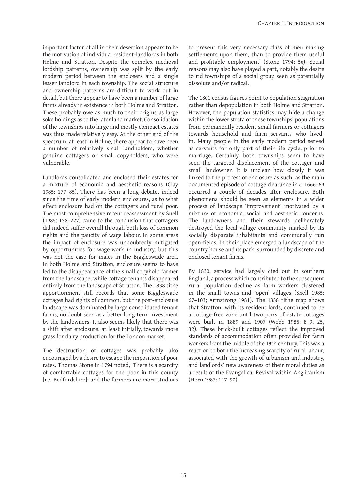important factor of all in their desertion appears to be the motivation of individual resident-landlords in both Holme and Stratton. Despite the complex medieval lordship patterns, ownership was split by the early modern period between the enclosers and a single lesser landlord in each township. The social structure and ownership patterns are difficult to work out in detail, but there appear to have been a number of large farms already in existence in both Holme and Stratton. These probably owe as much to their origins as large soke holdings as to the later land market. Consolidation of the townships into large and mostly compact estates was thus made relatively easy. At the other end of the spectrum, at least in Holme, there appear to have been a number of relatively small landholders, whether genuine cottagers or small copyholders, who were vulnerable.

Landlords consolidated and enclosed their estates for a mixture of economic and aesthetic reasons (Clay 1985: 177–85). There has been a long debate, indeed since the time of early modern enclosures, as to what effect enclosure had on the cottagers and rural poor. The most comprehensive recent reassessment by Snell (1985: 138–227) came to the conclusion that cottagers did indeed suffer overall through both loss of common rights and the paucity of wage labour. In some areas the impact of enclosure was undoubtedly mitigated by opportunities for wage-work in industry, but this was not the case for males in the Biggleswade area. In both Holme and Stratton, enclosure seems to have led to the disappearance of the small copyhold farmer from the landscape, while cottage tenants disappeared entirely from the landscape of Stratton. The 1838 tithe apportionment still records that some Biggleswade cottages had rights of common, but the post-enclosure landscape was dominated by large consolidated tenant farms, no doubt seen as a better long-term investment by the landowners. It also seems likely that there was a shift after enclosure, at least initially, towards more grass for dairy production for the London market.

The destruction of cottages was probably also encouraged by a desire to escape the imposition of poor rates. Thomas Stone in 1794 noted, 'There is a scarcity of comfortable cottages for the poor in this county [i.e. Bedfordshire]; and the farmers are more studious

to prevent this very necessary class of men making settlements upon them, than to provide them useful and profitable employment' (Stone 1794: 56). Social reasons may also have played a part, notably the desire to rid townships of a social group seen as potentially dissolute and/or radical.

The 1801 census figures point to population stagnation rather than depopulation in both Holme and Stratton. However, the population statistics may hide a change within the lower strata of these townships' populations from permanently resident small farmers or cottagers towards household and farm servants who livedin. Many people in the early modern period served as servants for only part of their life cycle, prior to marriage. Certainly, both townships seem to have seen the targeted displacement of the cottager and small landowner. It is unclear how closely it was linked to the process of enclosure as such, as the main documented episode of cottage clearance in *c*. 1666–69 occurred a couple of decades after enclosure. Both phenomena should be seen as elements in a wider process of landscape 'improvement' motivated by a mixture of economic, social and aesthetic concerns. The landowners and their stewards deliberately destroyed the local village community marked by its socially disparate inhabitants and communally run open-fields. In their place emerged a landscape of the country house and its park, surrounded by discrete and enclosed tenant farms.

By 1830, service had largely died out in southern England, a process which contributed to the subsequent rural population decline as farm workers clustered in the small towns and 'open' villages (Snell 1985: 67–103; Armstrong 1981). The 1838 tithe map shows that Stratton, with its resident lords, continued to be a cottage-free zone until two pairs of estate cottages were built in 1889 and 1907 (Webb 1985: 8–9, 25, 32). These brick-built cottages reflect the improved standards of accommodation often provided for farm workers from the middle of the 19th century. This was a reaction to both the increasing scarcity of rural labour, associated with the growth of urbanism and industry, and landlords' new awareness of their moral duties as a result of the Evangelical Revival within Anglicanism (Horn 1987: 147–90).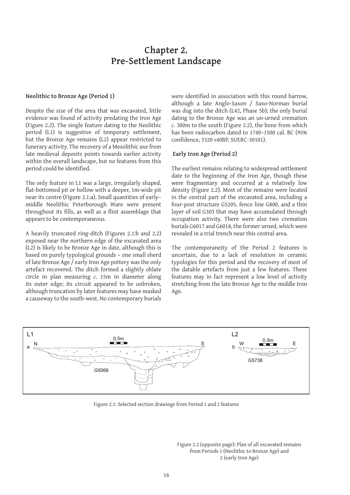### **Chapter 2. Pre-Settlement Landscape**

#### **Neolithic to Bronze Age (Period 1)**

Despite the size of the area that was excavated, little evidence was found of activity predating the Iron Age (Figure 2.2). The single feature dating to the Neolithic period (L1) is suggestive of temporary settlement, but the Bronze Age remains (L2) appear restricted to funerary activity. The recovery of a Mesolithic axe from late medieval deposits points towards earlier activity within the overall landscape, but no features from this period could be identified.

The only feature in L1 was a large, irregularly shaped, flat-bottomed pit or hollow with a deeper, 1m-wide pit near its centre (Figure 2.1:a). Small quantities of early– middle Neolithic Peterborough Ware were present throughout its fills, as well as a flint assemblage that appears to be contemporaneous.

A heavily truncated ring-ditch (Figures 2.1:b and 2.2) exposed near the northern edge of the excavated area (L2) is likely to be Bronze Age in date, although this is based on purely typological grounds – one small sherd of late Bronze Age / early Iron Age pottery was the only artefact recovered. The ditch formed a slightly oblate circle in plan measuring *c*. 15m in diameter along its outer edge; its circuit appeared to be unbroken, although truncation by later features may have masked a causeway to the south-west. No contemporary burials

were identified in association with this round barrow, although a late Anglo-Saxon / Saxo-Norman burial was dug into the ditch (L42, Phase 5b); the only burial dating to the Bronze Age was an un-urned cremation *c*. 300m to the south (Figure 2.2), the bone from which has been radiocarbon dated to 1740–1500 cal. BC (95% confidence, 3320 ±40BP, SUERC-30101).

#### **Early Iron Age (Period 2)**

The earliest remains relating to widespread settlement date to the beginning of the Iron Age, though these were fragmentary and occurred at a relatively low density (Figure 2.2). Most of the remains were located in the central part of the excavated area, including a four-post structure G5205, fence line G800, and a thin layer of soil G303 that may have accumulated through occupation activity. There were also two cremation burials G6017 and G6018, the former urned, which were revealed in a trial trench near this central area.

The contemporaneity of the Period 2 features is uncertain, due to a lack of resolution in ceramic typologies for this period and the recovery of most of the datable artefacts from just a few features. These features may in fact represent a low level of activity stretching from the late Bronze Age to the middle Iron Age.



Figure 2.1: Selected section drawings from Period 1 and 2 features

Figure 2.2 (opposite page): Plan of all excavated remains from Periods 1 (Neolithic to Bronze Age) and 2 (early Iron Age)